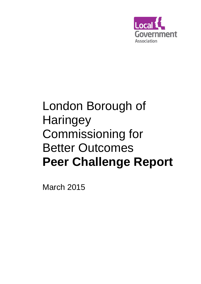

# London Borough of **Haringey** Commissioning for Better Outcomes **Peer Challenge Report**

March 2015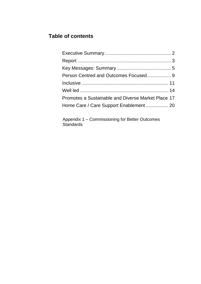## **Table of contents**

| Person Centred and Outcomes Focused 9              |  |
|----------------------------------------------------|--|
|                                                    |  |
|                                                    |  |
| Promotes a Sustainable and Diverse Market Place 17 |  |
| Home Care / Care Support Enablement 20             |  |

Appendix 1 – Commissioning for Better Outcomes Standards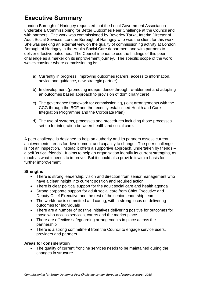# **Executive Summary**

London Borough of Haringey requested that the Local Government Association undertake a Commissioning for Better Outcomes Peer Challenge at the Council and with partners. The work was commissioned by Beverley Tarka, Interim Director of Adult Social Services, London Borough of Haringey who was the client for this work. She was seeking an external view on the quality of commissioning activity at London Borough of Haringey in the Adults Social Care department and with partners to deliver effective outcomes. The Council intends to use the findings of this peer challenge as a marker on its improvement journey. The specific scope of the work was to consider where commissioning is:

- a) Currently in progress: improving outcomes (carers, access to information, advice and guidance, new strategic partner)
- b) In development (promoting independence through re-ablement and adopting an outcomes based approach to provision of domiciliary care)
- c) The governance framework for commissioning, (joint arrangements with the CCG through the BCF and the recently established Health and Care Integration Programme and the Corporate Plan)
- d) The use of systems, processes and procedures including those processes set up for integration between health and social care.

A peer challenge is designed to help an authority and its partners assess current achievements, areas for development and capacity to change. The peer challenge is not an inspection. Instead it offers a supportive approach, undertaken by friends – albeit 'critical friends'. It aims to help an organisation identify its current strengths, as much as what it needs to improve. But it should also provide it with a basis for further improvement.

### **Strengths**

- There is strong leadership, vision and direction from senior management who have a clear insight into current position and required action
- There is clear political support for the adult social care and health agenda
- Strong corporate support for adult social care from Chief Executive and Deputy Chief Executive and the rest of the senior leadership team
- The workforce is committed and caring, with a strong focus on delivering outcomes for individuals
- There are a number of positive initiatives delivering positive for outcomes for those who access services, carers and the market place
- There are effective safeguarding arrangements in place across the partnership
- There is a strong commitment from the Council to engage service users, providers and partners

### **Areas for consideration**

• The quality of current frontline services needs to be maintained during the changes in structure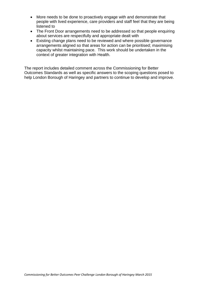- More needs to be done to proactively engage with and demonstrate that people with lived experience, care providers and staff feel that they are being listened to
- The Front Door arrangements need to be addressed so that people enquiring about services are respectfully and appropriate dealt with
- Existing change plans need to be reviewed and where possible governance arrangements aligned so that areas for action can be prioritised; maximising capacity whilst maintaining pace. This work should be undertaken in the context of greater integration with Health.

The report includes detailed comment across the Commissioning for Better Outcomes Standards as well as specific answers to the scoping questions posed to help London Borough of Haringey and partners to continue to develop and improve.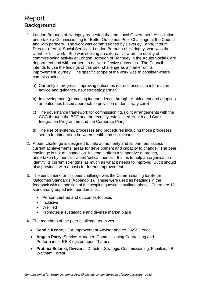# <span id="page-4-0"></span>Report **Background**

- 1. London Borough of Haringey requested that the Local Government Association undertake a Commissioning for Better Outcomes Peer Challenge at the Council and with partners. The work was commissioned by Beverley Tarka, Interim Director of Adult Social Services, London Borough of Haringey, who was the client for this work. She was seeking an external view on the quality of commissioning activity at London Borough of Haringey in the Adults Social Care department and with partners to deliver effective outcomes. The Council intends to use the findings of this peer challenge as a marker on its improvement journey. The specific scope of the work was to consider where commissioning is:
	- a) Currently in progress: improving outcomes (carers, access to information, advice and guidance, new strategic partner)
	- b) In development (promoting independence through re-ablement and adopting an outcomes based approach to provision of domiciliary care)
	- c) The governance framework for commissioning, (joint arrangements with the CCG through the BCF and the recently established Health and Care Integration Programme and the Corporate Plan)
	- d) The use of systems, processes and procedures including those processes set up for integration between health and social care.
- 2. A peer challenge is designed to help an authority and its partners assess current achievements, areas for development and capacity to change. The peer challenge is not an inspection. Instead it offers a supportive approach, undertaken by friends – albeit 'critical friends'. It aims to help an organisation identify its current strengths, as much as what it needs to improve. But it should also provide it with a basis for further improvement.
- 3. The benchmark for this peer challenge was the Commissioning for Better Outcomes Standards (Appendix 1). These were used as headings in the feedback with an addition of the scoping questions outlined above. There are 12 standards grouped into four domains:
	- Person-centred and outcomes-focused
	- Inclusive
	- Well led
	- Promotes a sustainable and diverse market place
- 4. The members of the peer challenge team were:
	- **Sandie Keene,** LGA Improvement Advisor and ex-DASS Leeds
	- **Angela Parry,** Service Manager: Commissioning Contracting and Performance, RB Kingston upon Thames
	- **Pratima Solanki,** Divisional Director, Strategic Commissioning, Families, LB Waltham Forest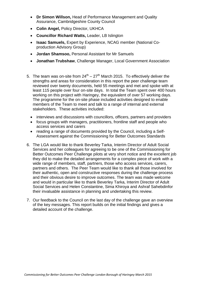- **Dr Simon Willson,** Head of Performance Management and Quality Assurance, Cambridgeshire County Council
- **Colin Angel,** Policy Director, UKHCA
- **Councillor Richard Watts,** Leader, LB Islington
- **Isaac Samuels,** Expert by Experience, NCAG member (National Coproduction Advisory Group)
- **Jordan Shamsoo,** Personal Assistant for Mr Samuels
- **Jonathan Trubshaw**, Challenge Manager, Local Government Association
- 5. The team was on-site from  $24^{th} 27^{th}$  March 2015. To effectively deliver the strengths and areas for consideration in this report the peer challenge team reviewed over twenty documents, held 55 meetings and met and spoke with at least 115 people over four on-site days. In total the Team spent over 400 hours working on this project with Haringey, the equivalent of over 57 working days. The programme for the on-site phase included activities designed to enable members of the Team to meet and talk to a range of internal and external stakeholders. These activities included:
	- interviews and discussions with councillors, officers, partners and providers
	- focus groups with managers, practitioners, frontline staff and people who access services and carers
	- reading a range of documents provided by the Council, including a Self-Assessment against the Commissioning for Better Outcomes Standards
- 6. The LGA would like to thank Beverley Tarka, Interim Director of Adult Social Services and her colleagues for agreeing to be one of the Commissioning for Better Outcomes Peer Challenge pilots at very short notice and the excellent job they did to make the detailed arrangements for a complex piece of work with a wide range of members, staff, partners, those who access services, carers, partners and others. The Peer Team would like to thank all those involved for their authentic, open and constructive responses during the challenge process and their obvious desire to improve outcomes. The team was made welcome and would in particular like to thank Beverley Tarka, Interim Director of Adult Social Services and Helen Constantine, Sima Khiroya and Ashraf Sahebdinfor their invaluable assistance in planning and undertaking this review.
- 7. Our feedback to the Council on the last day of the challenge gave an overview of the key messages. This report builds on the initial findings and gives a detailed account of the challenge.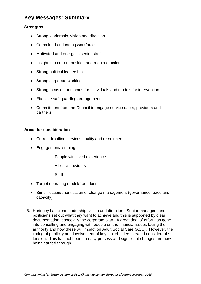## <span id="page-6-0"></span>**Key Messages: Summary**

### **Strengths**

- Strong leadership, vision and direction
- Committed and caring workforce
- Motivated and energetic senior staff
- Insight into current position and required action
- Strong political leadership
- Strong corporate working
- Strong focus on outcomes for individuals and models for intervention
- Effective safeguarding arrangements
- Commitment from the Council to engage service users, providers and partners

### **Areas for consideration**

- Current frontline services quality and recruitment
- Engagement/listening
	- People with lived experience
	- All care providers
	- Staff
- Target operating model/front door
- Simplification/prioritisation of change management (governance, pace and capacity)
- 8. Haringey has clear leadership, vision and direction. Senior managers and politicians set out what they want to achieve and this is supported by clear documentation, especially the corporate plan. A great deal of effort has gone into consulting and engaging with people on the financial issues facing the authority and how these will impact on Adult Social Care (ASC). However, the timing of publicity and involvement of key stakeholders created considerable tension. This has not been an easy process and significant changes are now being carried through.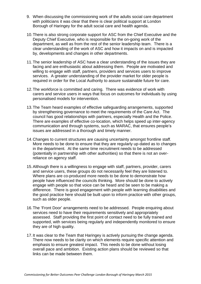- 9. When discussing the commissioning work of the adults social care department with politicians it was clear that there is clear political support at London Borough of Haringey for the adult social care and health agenda.
- 10.There is also strong corporate support for ASC from the Chief Executive and the Deputy Chief Executive, who is responsible for the on-going work of the department, as well as from the rest of the senior leadership team. There is a clear understanding of the work of ASC and how it impacts on and is impacted by, developments and changes in other departments.
- 11.The senior leadership of ASC have a clear understanding of the issues they are facing and are enthusiastic about addressing them. People are motivated and willing to engage with staff, partners, providers and services users to improve services. A greater understanding of the provider market for older people is required in order for the Local Authority to assure sustainable future for care.
- 12.The workforce is committed and caring. There was evidence of work with carers and service users in ways that focus on outcomes for individuals by using personalised models for intervention.
- 13.The Team heard examples of effective safeguarding arrangements, supported by strengthening governance to meet the requirements of the Care Act. The council has good relationships with partners, especially Health and the Police. There are examples of effective co-location, which helps speed up inter-agency communication and through systems, such as MARAC, that ensures people's issues are addressed in a thorough and timely manner.
- 14.Changes to current structures are causing uncertainty amongst frontline staff. More needs to be done to ensure that they are regularly up-dated as to changes in the department. At the same time recruitment needs to be addressed (potentially in partnership with other authorities) so that there is not an overreliance on agency staff.
- 15.Although there is a willingness to engage with staff, partners, provider, carers and service users, these groups do not necessarily feel they are listened to. Where plans are co-produced more needs to be done to demonstrate how people have influenced the councils thinking. More should be done to actively engage with people so that voice can be heard and be seen to be making a difference. There is good engagement with people with learning disabilities and the good practice here should be built upon to inform practice with other groups, such as older people.
- 16.The 'Front Door' arrangements need to be addressed. People enquiring about services need to have their requirements sensitively and appropriately assessed. Staff providing the first point of contact need to be fully trained and supported, with services being regularly and independently monitored to ensure they are of high quality.
- 17.It was clear to the Team that Haringey is actively pursuing the change agenda. There now needs to be clarity on which elements require specific attention and emphasis to ensure greatest impact. This needs to be done without losing overall pace and ambition. Existing action plans should be reviewed so that links can be made between them.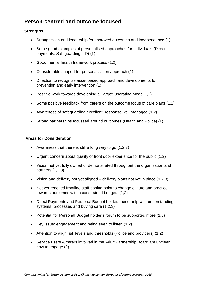## **Person-centred and outcome focused**

## **Strengths**

- Strong vision and leadership for improved outcomes and independence (1)
- Some good examples of personalised approaches for individuals (Direct payments, Safeguarding, LD) (1)
- Good mental health framework process (1,2)
- Considerable support for personalisation approach (1)
- Direction to recognise asset based approach and developments for prevention and early intervention (1)
- Positive work towards developing a Target Operating Model 1,2)
- Some positive feedback from carers on the outcome focus of care plans (1.2)
- Awareness of safeguarding excellent, response well managed (1,2)
- Strong partnerships focussed around outcomes (Health and Police) (1)

#### **Areas for Consideration**

- Awareness that there is still a long way to go  $(1,2,3)$
- Urgent concern about quality of front door experience for the public  $(1,2)$
- Vision not yet fully owned or demonstrated throughout the organisation and partners (1,2,3)
- Vision and delivery not yet aligned  $-$  delivery plans not yet in place  $(1,2,3)$
- Not yet reached frontline staff tipping point to change culture and practice towards outcomes within constrained budgets (1,2)
- Direct Payments and Personal Budget holders need help with understanding systems, processes and buying care (1,2,3)
- Potential for Personal Budget holder's forum to be supported more (1,3)
- Key issue: engagement and being seen to listen (1,2)
- Attention to align risk levels and thresholds (Police and providers) (1,2)
- Service users & carers involved in the Adult Partnership Board are unclear how to engage (2)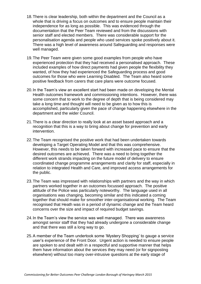- 18.There is clear leadership, both within the department and the Council as a whole that is driving a focus on outcomes and to ensure people maintain their independence for as long as possible. This was evidenced through the documentation that the Peer Team reviewed and from the discussions with senior staff and elected members. There was considerable support for the personalisation agenda and people who used services spoke positively about it. There was a high level of awareness around Safeguarding and responses were well managed.
- 19.The Peer Team were given some good examples from people who have experienced protection that they had received a personalised approach. These included examples of how direct payments had given people the flexibility they wanted, of how they had experienced the Safeguarding process and good outcomes for those who were Learning Disabled. The Team also heard some positive feedback from carers that care plans were outcome focused.
- 20.In the Team's view an excellent start had been made on developing the Mental Health outcomes framework and commissioning intentions. However, there was some concern that to work to the degree of depth that is being considered may take a long time and thought will need to be given as to how this is accomplished, particularly given the pace of change happening elsewhere in the department and the wider Council.
- 21.There is a clear direction to really look at an asset based approach and a recognition that this is a way to bring about change for prevention and early intervention.
- 22.The Team recognised the positive work that had been undertaken towards developing a Target Operating Model and that this was comprehensive. However, this needs to be taken forward with increased pace to ensure that the desired outcomes are achieved. There was a need to bring together the different work strands impacting on the future model of delivery to ensure coordinated change programme arrangements and clarity for staff, especially in relation to integrated Health and Care, and improved access arrangements for the public.
- 23.The Team was impressed with relationships with partners and the way in which partners worked together in an outcomes focussed approach. The positive attitude of the Police was particularly noteworthy. The language used in all organisations was changing, becoming similar and this indicated a coming together that should make for smoother inter-organisational working. The Team recognised that Heath was in a period of dynamic change and the Team heard concerns over the size and impact of required budget savings.
- 24.In the Team's view the service was well managed. There was awareness amongst senior staff that they had already undergone a considerable change and that there was still a long way to go.
- 25.A member of the Team undertook some 'Mystery Shopping' to gauge a service user's experience of the Front Door. Urgent action is needed to ensure people are spoken to and dealt with in a respectful and supportive manner that helps them have information about the services they may need (or for signposting elsewhere) without too many over-intrusive questions at the early stage of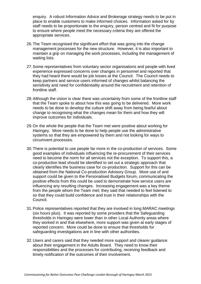enquiry. A robust Information Advice and Brokerage strategy needs to be put in place to enable customers to make informed choices. Information asked for by staff needs to be proportionate to the enquiry, person centred and fit for purpose to ensure where people meet the necessary criteria they are offered the appropriate services.

- 26.The Team recognised the significant effort that was going into the change management processes for the new structure. However, it is also important to maintain a grip on managing the work processes, including the management of waiting lists.
- 27.Some representatives from voluntary sector organisations and people with lived experience expressed concerns over changes in personnel and reported that they had heard there would be job losses at the Council. The Council needs to keep partners and service users informed of changes whilst balancing the sensitivity and need for confidentiality around the recruitment and retention of frontline staff.
- 28.Although the vision is clear there was uncertainty from some of the frontline staff that the Team spoke to about how this was going to be delivered. More work needs to be done to develop the culture shift away from being fearful about change to recognising what the changes mean for them and how they will improve outcomes for individuals.
- 29.On the whole the people that the Team met were positive about working for Haringey. More needs to be done to help people use the administrative systems so that they are empowered by them and not looking for ways to circumvent processes.
- 30.There is potential to use people far more in the co-production of services. Some good examples of individuals influencing the re-procurement of their services need to become the norm for all services not the exception. To support this, a co-production lead should be identified to set out a strategic approach that clearly identifies the business case for co-production. Support for this can be obtained from the National Co-production Advisory Group. More use of and support could be given to the Personalised Budgets forum, communicating the positive effects from this could be used to demonstrate how service users are influencing any resulting changes. Increasing engagement was a key theme from the people whom the Team met; they said that needed to feel listened to so that they could build confidence and trust in their relationships with the Council.
- 31.Police representatives reported that they are involved in long MARAC meetings (six hours plus). It was reported by some providers that the Safeguarding thresholds in Haringey were lower than in other Local Authority areas where they worked in and that elsewhere, more support was given at early stages of reported concern. More could be done to ensure that thresholds for safeguarding investigations are in line with other authorities.
- 32.Users and carers said that they needed more support and clearer guidance about their engagement in the Adults Board. They need to know their responsibilities and the processes for contributing, receiving feedback and timely notification of the outcomes of their involvement.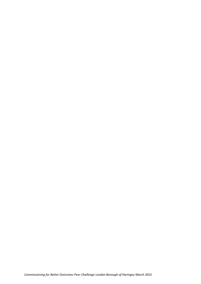*Commissioning for Better Outcomes Peer Challenge London Borough of Haringey March 2015*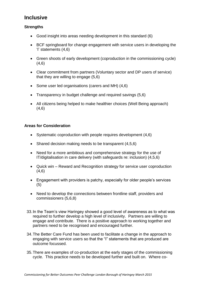## **Inclusive**

## **Strengths**

- Good insight into areas needing development in this standard (6)
- BCF springboard for change engagement with service users in developing the 'I' statements (4,6)
- Green shoots of early development (coproduction in the commissioning cycle)  $(4.6)$
- Clear commitment from partners (Voluntary sector and DP users of service) that they are willing to engage (5,6)
- Some user led organisations (carers and MH)  $(4,6)$
- Transparency in budget challenge and required savings (5.6)
- All citizens being helped to make healthier choices (Well Being approach) (4,6)

#### **Areas for Consideration**

- Systematic coproduction with people requires development (4,6)
- Shared decision making needs to be transparent (4,5,6)
- Need for a more ambitious and comprehensive strategy for the use of IT/digitalisation in care delivery (with safeguards re: inclusion) (4,5,6)
- Quick win Reward and Recognition strategy for service user coproduction (4,6)
- Engagement with providers is patchy, especially for older people's services (5)
- Need to develop the connections between frontline staff, providers and commissioners (5,6,8)
- 33.In the Team's view Haringey showed a good level of awareness as to what was required to further develop a high level of inclusivity. Partners are willing to engage and contribute. There is a positive approach to working together and partners need to be recognised and encouraged further.
- 34.The Better Care Fund has been used to facilitate a change in the approach to engaging with service users so that the "I" statements that are produced are outcome focussed.
- 35.There are examples of co-production at the early stages of the commissioning cycle. This practice needs to be developed further and built on. Where co-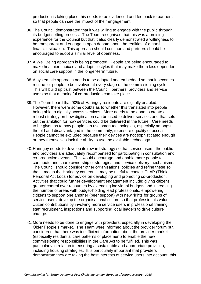production is taking place this needs to be evidenced and fed back to partners so that people can see the impact of their engagement.

- 36.The Council demonstrated that it was willing to engage with the public through its budget setting process. The Team recognised that this was a bruising experience for the Council but that it also clearly demonstrated a willingness to be transparent and engage in open debate about the realities of a harsh financial situation. This approach should continue and partners should be encouraged to adopt a similar level of openness.
- 37.A Well Being approach is being promoted. People are being encouraged to make healthier choices and adopt lifestyles that may make them less dependent on social care support in the longer-term future.
- 38.A systematic approach needs to be adopted and embedded so that it becomes routine for people to be involved at every stage of the commissioning cycle. This will build up trust between the Council, partners, providers and service users so that meaningful co-production can take place.
- 39.The Team heard that 90% of Haringey residents are digitally enabled. However, there were some doubts as to whether this translated into people being able to digitally access services. More needs to be done to create a robust strategy on how digitisation can be used to deliver services and that sets out the ambition for how services could be delivered in the future. Care needs to be given as to how people can use smart technologies, especially amongst the old and disadvantaged in the community, to ensure equality of access. People cannot be excluded because their devices are not sophisticated enough or they themselves lack the ability to use the available technology.
- 40.Haringey needs to develop its reward strategy so that service users, the public and providers are adequately recompensed for participating in consultation and co-production events. This would encourage and enable more people to contribute and share ownership of strategies and service delivery mechanisms. The Council should consider other organisations' policies and refine these so that it meets the Haringey context. It may be useful to contact TLAP (Think Personal Act Local) for advice on developing and promoting co-production. Activities that could further development engagement include; giving citizens greater control over resources by extending individual budgets and increasing the number of areas with budget-holding lead professionals, empowering citizens to support one another (peer support) with new rights for groups of service users, develop the organisational culture so that professionals value citizen contributions by involving more service users in professional training, staff recruitment, inspections and supporting local leaders to drive culture change.
- 41.More needs to be done to engage with providers, especially in developing the Older People's market. The Team were informed about the provider forum but considered that there was insufficient information about the provider market (especially residential care patterns of placement) to enable the new commissioning responsibilities in the Care Act to be fulfilled. This was particularly in relation to ensuring a sustainable and appropriate provision, including housing strategies. It is particularly important that providers demonstrate they are taking the best interests of service users into account; this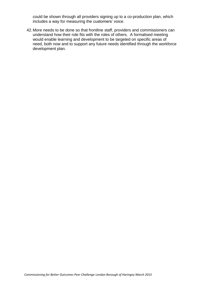could be shown through all providers signing up to a co-production plan, which includes a way for measuring the customers' voice.

42.More needs to be done so that frontline staff, providers and commissioners can understand how their role fits with the roles of others. A formalised meeting would enable learning and development to be targeted on specific areas of need, both now and to support any future needs identified through the workforce development plan.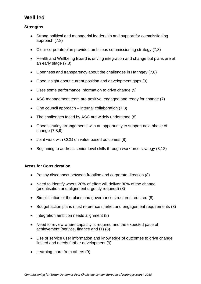## **Well led**

## **Strengths**

- Strong political and managerial leadership and support for commissioning approach (7,8)
- Clear corporate plan provides ambitious commissioning strategy (7,8)
- Health and Wellbeing Board is driving integration and change but plans are at an early stage (7,8)
- Openness and transparency about the challenges in Haringey (7,8)
- Good insight about current position and development gaps (9)
- Uses some performance information to drive change (9)
- ASC management team are positive, engaged and ready for change (7)
- One council approach internal collaboration  $(7,8)$
- The challenges faced by ASC are widely understood (8)
- Good scrutiny arrangements with an opportunity to support next phase of change (7,8,9)
- Joint work with CCG on value based outcomes (8)
- Beginning to address senior level skills through workforce strategy (8,12)

### **Areas for Consideration**

- Patchy disconnect between frontline and corporate direction (8)
- Need to identify where 20% of effort will deliver 80% of the change (prioritisation and alignment urgently required) (8)
- Simplification of the plans and governance structures required (8)
- Budget action plans must reference market and engagement requirements (8)
- Integration ambition needs alignment (8)
- Need to review where capacity is required and the expected pace of achievement (service, finance and IT) (8)
- Use of service user information and knowledge of outcomes to drive change limited and needs further development (9)
- Learning more from others (9)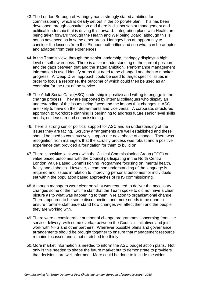- 43.The London Borough of Haringey has a strongly stated ambition for commissioning, which is clearly set out in the corporate plan. This has been developed through consultation and there is distinct senior management and political leadership that is driving this forward. Integration plans with Health are being taken forward through the Health and Wellbeing Board, although this is not as advanced as in some other areas. Haringey has an opportunity to consider the lessons from the 'Pioneer' authorities and see what can be adopted and adapted from their experiences.
- 44.In the Team's view, through the senior leadership, Haringey displays a high level of self-awareness. There is a clear understanding of the current position and the gaps between that and the stated ambition. Performance management information is used identify areas that need to be changed and then to monitor progress. A 'Deep Dive' approach could be used to target specific issues in order to focus a response, the outcome of which could then be used as an exemplar for the rest of the service.
- 45.The Adult Social Care (ASC) leadership is positive and willing to engage in the change process. They are supported by internal colleagues who display an understanding of the issues being faced and the impact that changes in ASC are likely to have on their departments and vice versa. A corporate, structured approach to workforce planning is beginning to address future senior level skills needs, not least around commissioning.
- 46.There is strong senior political support for ASC and an understanding of the issues they are facing. Scrutiny arrangements are well established and these should be used to constructively support the next phase of change. There was recognition from managers that the scrutiny process was robust and a positive experience that provided a foundation for them to build on.
- 47.There is positive joint work with the Clinical Commissioning Group (CCG) on value based outcomes with the Council participating in the North Central London Value Based Commissioning Programme focusing on; mental health, frailty and diabetes. However, a common understanding of the language is required and issues in relation to improving personal outcomes for individuals set within the population based approaches of NHS commissioning.
- 48.Although managers were clear on what was required to deliver the necessary changes some of the frontline staff that the Team spoke to did not have a clear picture as to what was happening to them in relation to organisational change. There appeared to be some disconnection and more needs to be done to ensure frontline staff understand how changes will affect them and the people they are working with.
- 49.There were a considerable number of change programmes concerning front line service delivery, with some overlap between the Council's initiatives and joint work with NHS and other partners. Wherever possible plans and governance arrangements should be brought together to ensure that management resource remains focussed and is not stretched too thinly.
- 50.More market information is needed to inform the ASC budget action plans. Not only is this needed to shape the future market but to demonstrate to providers that decisions are well informed. More could be done to include the wider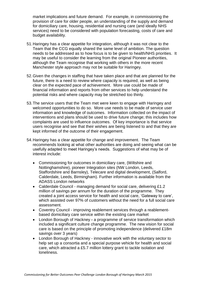market implications and future demand. For example, in commissioning the provision of care for older people, an understanding of the supply and demand for domiciliary care, housing, residential and nursing care (and ideally NHS services) need to be considered with population forecasting, costs of care and budget availability.

- 51.Haringey has a clear appetite for integration, although it was not clear to the Team that the CCG equally shared the same level of ambition. The question needs to be addressed as to how focus is to be given to health/NHS priorities. It may be useful to consider the learning from the original Pioneer authorities, although the Team recognise that working with others in the more recent Manchester style approach may not be suitable for Haringey.
- 52.Given the changes in staffing that have taken place and that are planned for the future, there is a need to review where capacity is required, as well as being clear on the expected pace of achievement. More use could be made of financial information and reports from other services to help understand the potential risks and where capacity may be stretched too thinly.
- 53.The service users that the Team met were keen to engage with Haringey and welcomed opportunities to do so. More use needs to be made of service user information and knowledge of outcomes. Information collected on the impact of interventions and plans should be used to drive future change; this includes how complaints are used to influence outcomes. Of key importance is that service users recognise and see that their wishes are being listened to and that they are kept informed of the outcome of their engagement.
- 54.Haringey has a clear appetite for change and improvement. The Team recommends looking at what other authorities are doing and seeing what can be usefully adapted to meet Haringey's needs. Suggestions of what may be of interest include:
	- Commissioning for outcomes in domiciliary care, (Wiltshire and Nottinghamshire), pioneer Integration sites (NW London, Leeds, Staffordshire and Barnsley), Telecare and digital development, (Salford, Calderdale, Leeds, Birmingham). Further information is available from the ADASS London networks
	- Calderdale Council managing demand for social care, delivering £1.2 million of savings per annum for the duration of the programme. They created a joint access service for health and social care, 'Gateway to care', which assisted over 97% of customers without the need for a full social care assessment.
	- Coventry Council improving reablement services through a reablementbased domiciliary care service within the existing care market
	- London Borough of Hackney **-** a programme of service transformation which included a significant culture change programme. The new vision for social care is based on the principle of promoting independence (delivered £18m savings over 3 years)
	- London Borough of Hackney innovative work with the voluntary sector to help set up a consortia and a special purpose vehicle for health and social care, which attracted a £5.7 million lottery grant to tackle isolation and loneliness.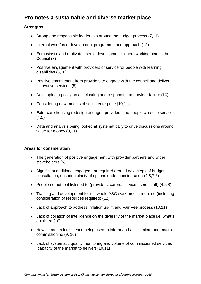## **Promotes a sustainable and diverse market place**

### **Strengths**

- Strong and responsible leadership around the budget process (7,11)
- Internal workforce development programme and approach (12)
- Enthusiastic and motivated senior level commissioners working across the Council (7)
- Positive engagement with providers of service for people with learning disabilities (5,10)
- Positive commitment from providers to engage with the council and deliver innovative services (5)
- Developing a policy on anticipating and responding to provider failure (10)
- Considering new models of social enterprise (10,11)
- Extra care housing redesign engaged providers and people who use services (4,5)
- Data and analysis being looked at systematically to drive discussions around value for money (9,11)

#### **Areas for consideration**

- The generation of positive engagement with provider partners and wider stakeholders (5)
- Significant additional engagement required around next steps of budget consultation, ensuring clarity of options under consideration (4,5,7,8)
- People do not feel listened to (providers, carers, service users, staff) (4,5,8)
- Training and development for the whole ASC workforce is required (including consideration of resources required) (12)
- Lack of approach to address inflation up-lift and Fair Fee process (10,11)
- Lack of collation of intelligence on the diversity of the market place i.e. what's out there (10)
- How is market intelligence being used to inform and assist micro and macrocommissioning (9, 10)
- Lack of systematic quality monitoring and volume of commissioned services (capacity of the market to deliver) (10,11)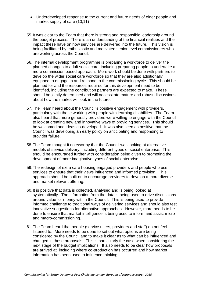- Underdeveloped response to the current and future needs of older people and market supply of care (10,11)
- 55.It was clear to the Team that there is strong and responsible leadership around the budget process. There is an understanding of the financial realities and the impact these have on how services are delivered into the future. This vision is being facilitated by enthusiastic and motivated senior level commissioners who are working across the Council.
- 56.The internal development programme is preparing a workforce to deliver the planned changes to adult social care, including preparing people to undertake a more commission based approach. More work should be done with partners to develop the wider social care workforce so that they are also additionally equipped to engage in and respond to the commissioning cycle. This should be planned for and the resources required for this development need to be identified, including the contribution partners are expected to make. These should be jointly determined and will necessitate mature and robust discussions about how the market will look in the future.
- 57.The Team heard about the Council's positive engagement with providers, particularly with those working with people with learning disabilities. The Team also heard that more generally providers were willing to engage with the Council to look at creating new and innovative ways of providing services. This should be welcomed and ideas co-developed. It was also seen as positive that the Council was developing an early policy on anticipating and responding to provider failure.
- 58.The Team thought it noteworthy that the Council was looking at alternative models of service delivery, including different types of social enterprise. This should be encouraged further with consideration being given to promoting the development of more imaginative types of social enterprise.
- 59.The redesign of extra care housing engaged providers and people who use services to ensure that their views influenced and informed provision. This approach should be built on to encourage providers to develop a more diverse and market relevant offering.
- 60.It is positive that data is collected, analysed and is being looked at systematically. The information from the data is being used to drive discussions around value for money within the Council. This is being used to provide informed challenge to traditional ways of delivering services and should also test innovative suggestions for alternative approaches. However, more needs to be done to ensure that market intelligence is being used to inform and assist micro and macro-commissioning.
- 61.The Team heard that people (service users, providers and staff) do not feel listened to. More needs to be done to set out what options are being considered by the Council and to make it clear as to what can be influenced and changed in these proposals. This is particularly the case when considering the next stage of the budget implications. It also needs to be clear how proposals are arrived at, including where co-production has occurred and how market information has been used to influence thinking.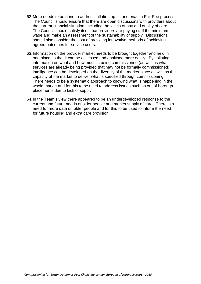- 62.More needs to be done to address inflation up-lift and enact a Fair Fee process. The Council should ensure that there are open discussions with providers about the current financial situation, including the levels of pay and quality of care. The Council should satisfy itself that providers are paying staff the minimum wage and make an assessment of the sustainability of supply. Discussions should also consider the cost of providing innovative methods of achieving agreed outcomes for service users.
- 63.Information on the provider market needs to be brought together and held in one place so that it can be accessed and analysed more easily. By collating information on what and how much is being commissioned (as well as what services are already being provided that may not be formally commissioned) intelligence can be developed on the diversity of the market place as well as the capacity of the market to deliver what is specified through commissioning. There needs to be a systematic approach to knowing what is happening in the whole market and for this to be used to address issues such as out of borough placements due to lack of supply.
- 64.In the Team's view there appeared to be an underdeveloped response to the current and future needs of older people and market supply of care. There is a need for more data on older people and for this to be used to inform the need for future housing and extra care provision.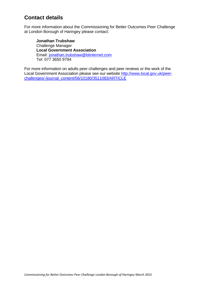## **Contact details**

For more information about the Commissioning for Better Outcomes Peer Challenge at London Borough of Haringey please contact:

**Jonathan Trubshaw** Challenge Manager **Local Government Association** Email: [jonathan.trubshaw@btinternet.com](mailto:jonathan.trubshaw@btinternet.com) Tel: 077 3650 9794

For more information on adults peer challenges and peer reviews or the work of the Local Government Association please see our website [http://www.local.gov.uk/peer](http://www.local.gov.uk/peer-challenges/-/journal_content/56/10180/3511083/ARTICLE)[challenges/-/journal\\_content/56/10180/3511083/ARTICLE](http://www.local.gov.uk/peer-challenges/-/journal_content/56/10180/3511083/ARTICLE)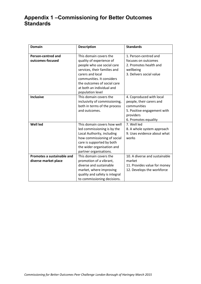## **Appendix 1 –Commissioning for Better Outcomes Standards**

| <b>Domain</b>                                      | <b>Description</b>                                                                                                                                                                                                                                | <b>Standards</b>                                                                                                                        |
|----------------------------------------------------|---------------------------------------------------------------------------------------------------------------------------------------------------------------------------------------------------------------------------------------------------|-----------------------------------------------------------------------------------------------------------------------------------------|
| <b>Person-centred and</b><br>outcomes-focused      | This domain covers the<br>quality of experience of<br>people who use social care<br>services, their families and<br>carers and local<br>communities. It considers<br>the outcomes of social care<br>at both an individual and<br>population level | 1. Person-centred and<br>focuses on outcomes<br>2. Promotes health and<br>wellbeing<br>3. Delivers social value                         |
| <b>Inclusive</b>                                   | This domain covers the<br>inclusivity of commissioning,<br>both in terms of the process<br>and outcomes.                                                                                                                                          | 4. Coproduced with local<br>people, their carers and<br>communities<br>5. Positive engagement with<br>providers<br>6. Promotes equality |
| <b>Well led</b>                                    | This domain covers how well<br>led commissioning is by the<br>Local Authority, including<br>how commissioning of social<br>care is supported by both<br>the wider organisation and<br>partner organisations.                                      | 7. Well led<br>8. A whole system approach<br>9. Uses evidence about what<br>works                                                       |
| Promotes a sustainable and<br>diverse market place | This domain covers the<br>promotion of a vibrant,<br>diverse and sustainable<br>market, where improving<br>quality and safety is integral<br>to commissioning decisions.                                                                          | 10. A diverse and sustainable<br>market<br>11. Provides value for money<br>12. Develops the workforce                                   |